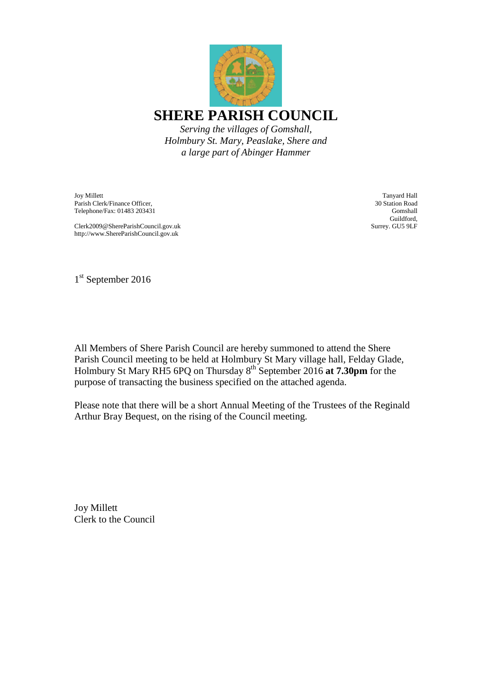

*Holmbury St. Mary, Peaslake, Shere and a large part of Abinger Hammer*

Joy Millett Parish Clerk/Finance Officer, Telephone/Fax: 01483 203431

Clerk2009@ShereParishCouncil.gov.uk http://www.ShereParishCouncil.gov.uk

Tanyard Hall 30 Station Road Gomshall Guildford, Surrey. GU5 9LF

1<sup>st</sup> September 2016

All Members of Shere Parish Council are hereby summoned to attend the Shere Parish Council meeting to be held at Holmbury St Mary village hall, Felday Glade, Holmbury St Mary RH5 6PQ on Thursday 8th September 2016 **at 7.30pm** for the purpose of transacting the business specified on the attached agenda.

Please note that there will be a short Annual Meeting of the Trustees of the Reginald Arthur Bray Bequest, on the rising of the Council meeting.

Joy Millett Clerk to the Council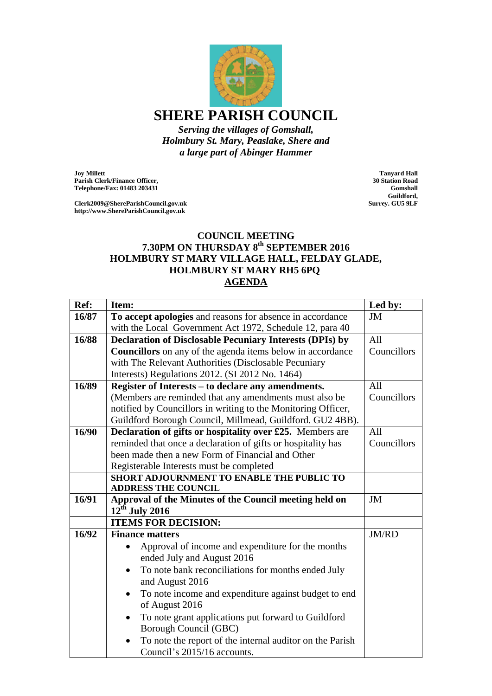

*Serving the villages of Gomshall, Holmbury St. Mary, Peaslake, Shere and a large part of Abinger Hammer*

**Joy Millett Parish Clerk/Finance Officer, Telephone/Fax: 01483 203431**

**Clerk2009@ShereParishCouncil.gov.uk http://www.ShereParishCouncil.gov.uk**

**Tanyard Hall 30 Station Road Gomshall Guildford, Surrey. GU5 9LF**

## **COUNCIL MEETING 7.30PM ON THURSDAY 8th SEPTEMBER 2016 HOLMBURY ST MARY VILLAGE HALL, FELDAY GLADE, HOLMBURY ST MARY RH5 6PQ AGENDA**

| Ref:  | Item:                                                                                        | Led by:     |
|-------|----------------------------------------------------------------------------------------------|-------------|
| 16/87 | To accept apologies and reasons for absence in accordance                                    | JM          |
|       | with the Local Government Act 1972, Schedule 12, para 40                                     |             |
| 16/88 | <b>Declaration of Disclosable Pecuniary Interests (DPIs) by</b>                              | All         |
|       | <b>Councillors</b> on any of the agenda items below in accordance                            | Councillors |
|       | with The Relevant Authorities (Disclosable Pecuniary                                         |             |
|       | Interests) Regulations 2012. (SI 2012 No. 1464)                                              |             |
| 16/89 | Register of Interests - to declare any amendments.                                           | All         |
|       | (Members are reminded that any amendments must also be                                       | Councillors |
|       | notified by Councillors in writing to the Monitoring Officer,                                |             |
|       | Guildford Borough Council, Millmead, Guildford. GU2 4BB).                                    |             |
| 16/90 | Declaration of gifts or hospitality over £25. Members are                                    | All         |
|       | reminded that once a declaration of gifts or hospitality has                                 | Councillors |
|       | been made then a new Form of Financial and Other                                             |             |
|       | Registerable Interests must be completed                                                     |             |
|       | <b>SHORT ADJOURNMENT TO ENABLE THE PUBLIC TO</b>                                             |             |
|       | <b>ADDRESS THE COUNCIL</b>                                                                   |             |
| 16/91 | Approval of the Minutes of the Council meeting held on                                       | JM          |
|       | $12^{th}$ July 2016                                                                          |             |
|       | <b>ITEMS FOR DECISION:</b>                                                                   |             |
| 16/92 | <b>Finance matters</b>                                                                       | JM/RD       |
|       | Approval of income and expenditure for the months<br>ended July and August 2016              |             |
|       | To note bank reconciliations for months ended July<br>$\bullet$<br>and August 2016           |             |
|       | To note income and expenditure against budget to end<br>$\bullet$<br>of August 2016          |             |
|       | To note grant applications put forward to Guildford<br>$\bullet$<br>Borough Council (GBC)    |             |
|       | To note the report of the internal auditor on the Parish<br>٠<br>Council's 2015/16 accounts. |             |